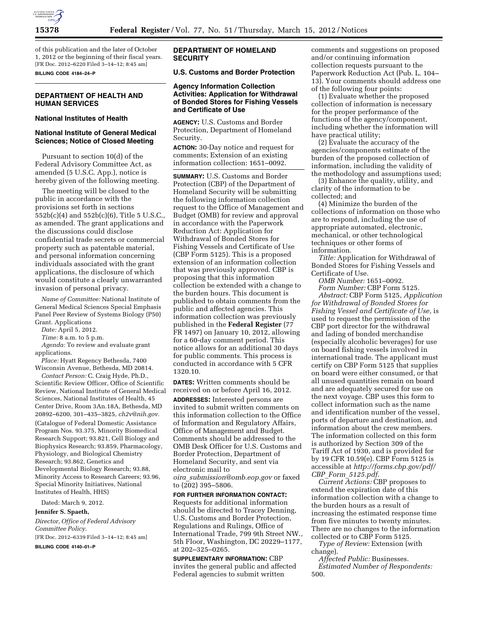

of this publication and the later of October 1, 2012 or the beginning of their fiscal years. [FR Doc. 2012–6220 Filed 3–14–12; 8:45 am]

**BILLING CODE 4184–24–P** 

# **DEPARTMENT OF HEALTH AND HUMAN SERVICES**

#### **National Institutes of Health**

#### **National Institute of General Medical Sciences; Notice of Closed Meeting**

Pursuant to section 10(d) of the Federal Advisory Committee Act, as amended (5 U.S.C. App.), notice is hereby given of the following meeting.

The meeting will be closed to the public in accordance with the provisions set forth in sections 552b(c)(4) and 552b(c)(6), Title 5 U.S.C., as amended. The grant applications and the discussions could disclose confidential trade secrets or commercial property such as patentable material, and personal information concerning individuals associated with the grant applications, the disclosure of which would constitute a clearly unwarranted invasion of personal privacy.

*Name of Committee:* National Institute of General Medical Sciences Special Emphasis Panel Peer Review of Systems Biology (P50) Grant. Applications

*Date:* April 5, 2012.

*Time:* 8 a.m. to 5 p.m.

*Agenda:* To review and evaluate grant applications.

*Place:* Hyatt Regency Bethesda, 7400 Wisconsin Avenue, Bethesda, MD 20814.

*Contact Person:* C. Craig Hyde, Ph.D., Scientific Review Officer, Office of Scientific Review, National Institute of General Medical Sciences, National Institutes of Health, 45 Center Drive, Room 3An.18A, Bethesda, MD 20892–6200, 301–435–3825, *[ch2v@nih.gov.](mailto:ch2v@nih.gov)* 

(Catalogue of Federal Domestic Assistance Program Nos. 93.375, Minority Biomedical Research Support; 93.821, Cell Biology and Biophysics Research; 93.859, Pharmacology, Physiology, and Biological Chemistry Research; 93.862, Genetics and Developmental Biology Research; 93.88, Minority Access to Research Careers; 93.96, Special Minority Initiatives, National Institutes of Health, HHS)

Dated: March 9, 2012.

#### **Jennifer S. Spaeth,**

*Director, Office of Federal Advisory Committee Policy.*  [FR Doc. 2012–6339 Filed 3–14–12; 8:45 am]

**BILLING CODE 4140–01–P** 

## **DEPARTMENT OF HOMELAND SECURITY**

# **U.S. Customs and Border Protection**

#### **Agency Information Collection Activities: Application for Withdrawal of Bonded Stores for Fishing Vessels and Certificate of Use**

**AGENCY:** U.S. Customs and Border Protection, Department of Homeland Security.

**ACTION:** 30-Day notice and request for comments; Extension of an existing information collection: 1651–0092.

**SUMMARY:** U.S. Customs and Border Protection (CBP) of the Department of Homeland Security will be submitting the following information collection request to the Office of Management and Budget (OMB) for review and approval in accordance with the Paperwork Reduction Act: Application for Withdrawal of Bonded Stores for Fishing Vessels and Certificate of Use (CBP Form 5125). This is a proposed extension of an information collection that was previously approved. CBP is proposing that this information collection be extended with a change to the burden hours. This document is published to obtain comments from the public and affected agencies. This information collection was previously published in the **Federal Register** (77 FR 1497) on January 10, 2012, allowing for a 60-day comment period. This notice allows for an additional 30 days for public comments. This process is conducted in accordance with 5 CFR 1320.10.

**DATES:** Written comments should be received on or before April 16, 2012.

**ADDRESSES:** Interested persons are invited to submit written comments on this information collection to the Office of Information and Regulatory Affairs, Office of Management and Budget. Comments should be addressed to the OMB Desk Officer for U.S. Customs and Border Protection, Department of Homeland Security, and sent via electronic mail to *oira*\_*[submission@omb.eop.gov](mailto:oira_submission@omb.eop.gov)* or faxed

to (202) 395–5806.

#### **FOR FURTHER INFORMATION CONTACT:**

Requests for additional information should be directed to Tracey Denning, U.S. Customs and Border Protection, Regulations and Rulings, Office of International Trade, 799 9th Street NW., 5th Floor, Washington, DC 20229–1177, at 202–325–0265.

**SUPPLEMENTARY INFORMATION:** CBP invites the general public and affected Federal agencies to submit written

comments and suggestions on proposed and/or continuing information collection requests pursuant to the Paperwork Reduction Act (Pub. L. 104– 13). Your comments should address one of the following four points:

(1) Evaluate whether the proposed collection of information is necessary for the proper performance of the functions of the agency/component, including whether the information will have practical utility;

(2) Evaluate the accuracy of the agencies/components estimate of the burden of the proposed collection of information, including the validity of the methodology and assumptions used;

(3) Enhance the quality, utility, and clarity of the information to be collected; and

(4) Minimize the burden of the collections of information on those who are to respond, including the use of appropriate automated, electronic, mechanical, or other technological techniques or other forms of information.

*Title:* Application for Withdrawal of Bonded Stores for Fishing Vessels and Certificate of Use.

*OMB Number:* 1651–0092. *Form Number:* CBP Form 5125.

*Abstract:* CBP Form 5125, *Application for Withdrawal of Bonded Stores for Fishing Vessel and Certificate of Use,* is used to request the permission of the CBP port director for the withdrawal and lading of bonded merchandise (especially alcoholic beverages) for use on board fishing vessels involved in international trade. The applicant must certify on CBP Form 5125 that supplies on board were either consumed, or that all unused quantities remain on board and are adequately secured for use on the next voyage. CBP uses this form to collect information such as the name and identification number of the vessel, ports of departure and destination, and information about the crew members. The information collected on this form is authorized by Section 309 of the Tariff Act of 1930, and is provided for by 19 CFR 10.59(e). CBP Form 5125 is accessible at *[http://forms.cbp.gov/pdf/](http://forms.cbp.gov/pdf/CBP_Form_5125.pdf) CBP*\_*Form*\_*[5125.pdf.](http://forms.cbp.gov/pdf/CBP_Form_5125.pdf)* 

*Current Actions:* CBP proposes to extend the expiration date of this information collection with a change to the burden hours as a result of increasing the estimated response time from five minutes to twenty minutes. There are no changes to the information collected or to CBP Form 5125.

*Type of Review:* Extension (with change).

*Affected Public:* Businesses. *Estimated Number of Respondents:*  500.